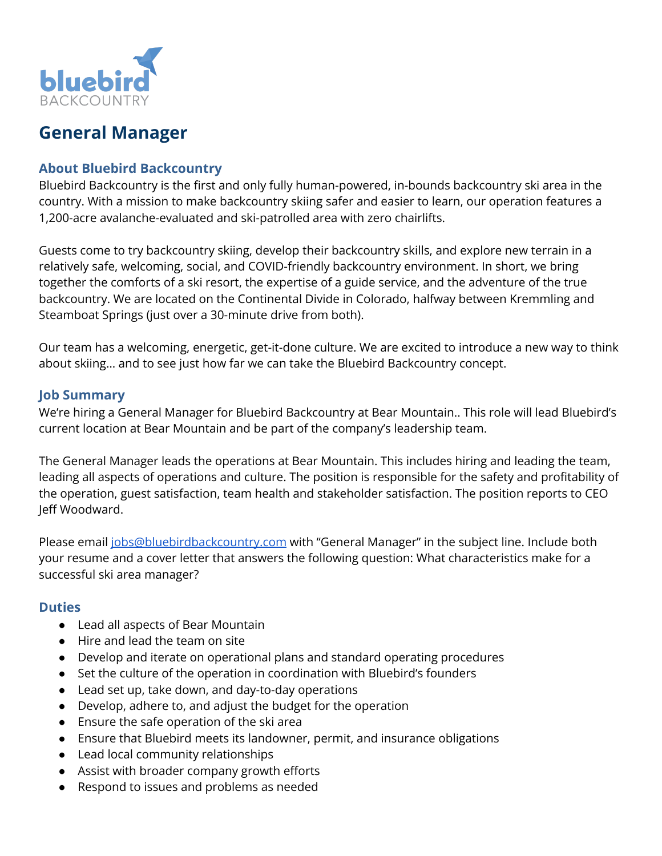

# **General Manager**

#### **About Bluebird Backcountry**

Bluebird Backcountry is the first and only fully human-powered, in-bounds backcountry ski area in the country. With a mission to make backcountry skiing safer and easier to learn, our operation features a 1,200-acre avalanche-evaluated and ski-patrolled area with zero chairlifts.

Guests come to try backcountry skiing, develop their backcountry skills, and explore new terrain in a relatively safe, welcoming, social, and COVID-friendly backcountry environment. In short, we bring together the comforts of a ski resort, the expertise of a guide service, and the adventure of the true backcountry. We are located on the Continental Divide in Colorado, halfway between Kremmling and Steamboat Springs (just over a 30-minute drive from both).

Our team has a welcoming, energetic, get-it-done culture. We are excited to introduce a new way to think about skiing… and to see just how far we can take the Bluebird Backcountry concept.

## **Job Summary**

We're hiring a General Manager for Bluebird Backcountry at Bear Mountain.. This role will lead Bluebird's current location at Bear Mountain and be part of the company's leadership team.

The General Manager leads the operations at Bear Mountain. This includes hiring and leading the team, leading all aspects of operations and culture. The position is responsible for the safety and profitability of the operation, guest satisfaction, team health and stakeholder satisfaction. The position reports to CEO Jeff Woodward.

Please email [jobs@bluebirdbackcountry.com](mailto:jobs@bluebirdbackcountry.com) with "General Manager" in the subject line. Include both your resume and a cover letter that answers the following question: What characteristics make for a successful ski area manager?

#### **Duties**

- Lead all aspects of Bear Mountain
- Hire and lead the team on site
- Develop and iterate on operational plans and standard operating procedures
- Set the culture of the operation in coordination with Bluebird's founders
- Lead set up, take down, and day-to-day operations
- Develop, adhere to, and adjust the budget for the operation
- Ensure the safe operation of the ski area
- Ensure that Bluebird meets its landowner, permit, and insurance obligations
- Lead local community relationships
- Assist with broader company growth efforts
- Respond to issues and problems as needed